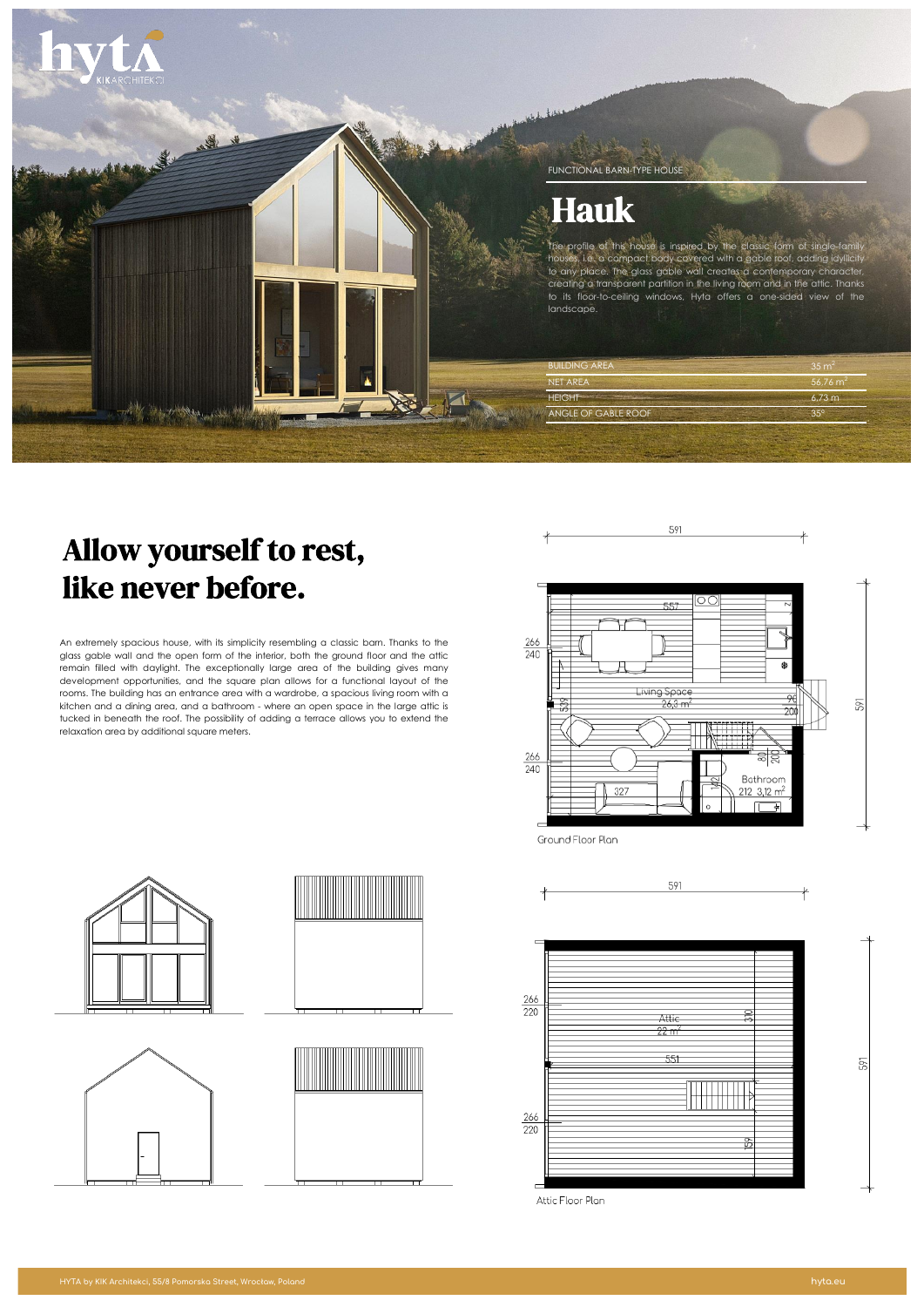

# Allow yourself to rest, like never before.

An extremely spacious house, with its simplicity resembling a classic barn. Thanks to the glass gable wall and the open form of the interior, both the ground floor and the attic remain filled with daylight. The exceptionally large area of the building gives many development opportunities, and the square plan allows for a functional layout of the rooms. The building has an entrance area with a wardrobe, a spacious living room with a kitchen and a dining area, and a bathroom - where an open space in the large attic is tucked in beneath the roof. The possibility of adding a terrace allows you to extend the relaxation area by additional square meters.